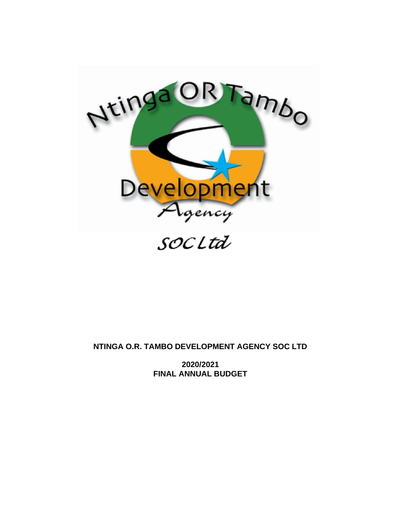

**NTINGA O.R. TAMBO DEVELOPMENT AGENCY SOC LTD**

**2020/2021 FINAL ANNUAL BUDGET**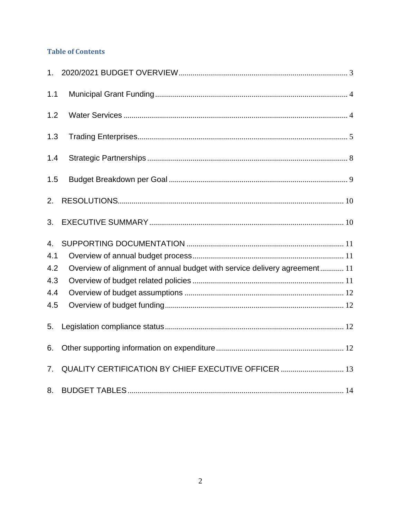## **Table of Contents**

| 1 <sub>1</sub> |                                                                           |
|----------------|---------------------------------------------------------------------------|
| 1.1            |                                                                           |
| 1.2            |                                                                           |
| 1.3            |                                                                           |
| 1.4            |                                                                           |
| 1.5            |                                                                           |
| 2.             |                                                                           |
| 3.             |                                                                           |
|                |                                                                           |
| 4.             |                                                                           |
| 4.1            |                                                                           |
| 4.2            | Overview of alignment of annual budget with service delivery agreement 11 |
| 4.3            |                                                                           |
| 4.4            |                                                                           |
| 4.5            |                                                                           |
| 5.             |                                                                           |
| 6.             |                                                                           |
| 7.             | QUALITY CERTIFICATION BY CHIEF EXECUTIVE OFFICER  13                      |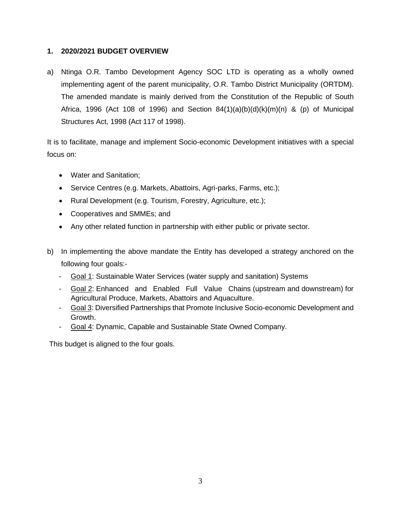## <span id="page-2-0"></span>**1. 2020/2021 BUDGET OVERVIEW**

a) Ntinga O.R. Tambo Development Agency SOC LTD is operating as a wholly owned implementing agent of the parent municipality, O.R. Tambo District Municipality (ORTDM). The amended mandate is mainly derived from the Constitution of the Republic of South Africa, 1996 (Act 108 of 1996) and Section  $84(1)(a)(b)(d)(k)(m)(n)$  & (p) of Municipal Structures Act, 1998 (Act 117 of 1998).

It is to facilitate, manage and implement Socio-economic Development initiatives with a special focus on:

- Water and Sanitation;
- Service Centres (e.g. Markets, Abattoirs, Agri-parks, Farms, etc.);
- Rural Development (e.g. Tourism, Forestry, Agriculture, etc.);
- Cooperatives and SMMEs; and
- Any other related function in partnership with either public or private sector.
- b) In implementing the above mandate the Entity has developed a strategy anchored on the following four goals:-
	- Goal 1: Sustainable Water Services (water supply and sanitation) Systems
	- Goal 2: Enhanced and Enabled Full Value Chains (upstream and downstream) for Agricultural Produce, Markets, Abattoirs and Aquaculture.
	- Goal 3: Diversified Partnerships that Promote Inclusive Socio-economic Development and Growth.
	- Goal 4: Dynamic, Capable and Sustainable State Owned Company.

This budget is aligned to the four goals.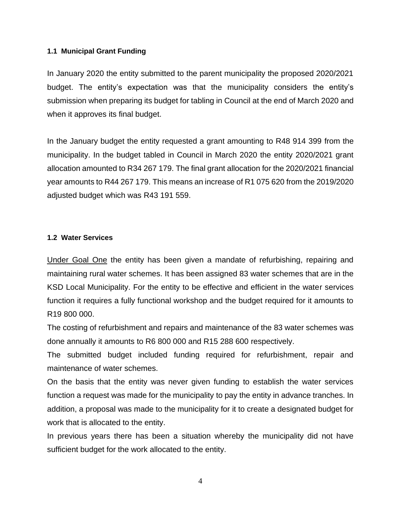## <span id="page-3-0"></span>**1.1 Municipal Grant Funding**

In January 2020 the entity submitted to the parent municipality the proposed 2020/2021 budget. The entity's expectation was that the municipality considers the entity's submission when preparing its budget for tabling in Council at the end of March 2020 and when it approves its final budget.

In the January budget the entity requested a grant amounting to R48 914 399 from the municipality. In the budget tabled in Council in March 2020 the entity 2020/2021 grant allocation amounted to R34 267 179. The final grant allocation for the 2020/2021 financial year amounts to R44 267 179. This means an increase of R1 075 620 from the 2019/2020 adjusted budget which was R43 191 559.

## <span id="page-3-1"></span>**1.2 Water Services**

Under Goal One the entity has been given a mandate of refurbishing, repairing and maintaining rural water schemes. It has been assigned 83 water schemes that are in the KSD Local Municipality. For the entity to be effective and efficient in the water services function it requires a fully functional workshop and the budget required for it amounts to R19 800 000.

The costing of refurbishment and repairs and maintenance of the 83 water schemes was done annually it amounts to R6 800 000 and R15 288 600 respectively.

The submitted budget included funding required for refurbishment, repair and maintenance of water schemes.

On the basis that the entity was never given funding to establish the water services function a request was made for the municipality to pay the entity in advance tranches. In addition, a proposal was made to the municipality for it to create a designated budget for work that is allocated to the entity.

In previous years there has been a situation whereby the municipality did not have sufficient budget for the work allocated to the entity.

4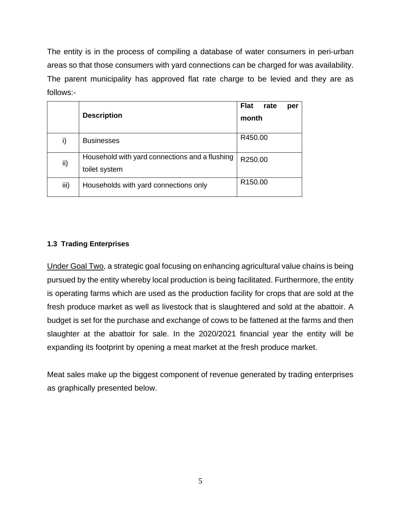The entity is in the process of compiling a database of water consumers in peri-urban areas so that those consumers with yard connections can be charged for was availability. The parent municipality has approved flat rate charge to be levied and they are as follows:-

|      | <b>Description</b>                                              | <b>Flat</b><br>rate<br>per |
|------|-----------------------------------------------------------------|----------------------------|
|      |                                                                 | month                      |
| i)   | <b>Businesses</b>                                               | R450.00                    |
| ii)  | Household with yard connections and a flushing<br>toilet system | R250.00                    |
| iii) | Households with yard connections only                           | R <sub>150.00</sub>        |

## <span id="page-4-0"></span>**1.3 Trading Enterprises**

Under Goal Two, a strategic goal focusing on enhancing agricultural value chains is being pursued by the entity whereby local production is being facilitated. Furthermore, the entity is operating farms which are used as the production facility for crops that are sold at the fresh produce market as well as livestock that is slaughtered and sold at the abattoir. A budget is set for the purchase and exchange of cows to be fattened at the farms and then slaughter at the abattoir for sale. In the 2020/2021 financial year the entity will be expanding its footprint by opening a meat market at the fresh produce market.

Meat sales make up the biggest component of revenue generated by trading enterprises as graphically presented below.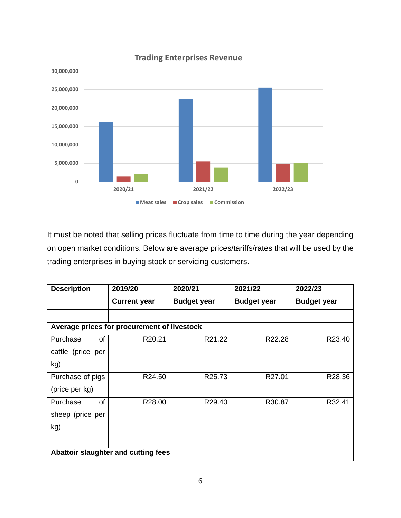

It must be noted that selling prices fluctuate from time to time during the year depending on open market conditions. Below are average prices/tariffs/rates that will be used by the trading enterprises in buying stock or servicing customers.

| <b>Description</b>    | 2019/20                                     | 2020/21            | 2021/22            | 2022/23            |
|-----------------------|---------------------------------------------|--------------------|--------------------|--------------------|
|                       | <b>Current year</b>                         | <b>Budget year</b> | <b>Budget year</b> | <b>Budget year</b> |
|                       |                                             |                    |                    |                    |
|                       | Average prices for procurement of livestock |                    |                    |                    |
| Purchase<br>of        | R20.21                                      | R21.22             | R22.28             | R23.40             |
| cattle (price per     |                                             |                    |                    |                    |
| kg)                   |                                             |                    |                    |                    |
| Purchase of pigs      | R24.50                                      | R25.73             | R27.01             | R28.36             |
| (price per kg)        |                                             |                    |                    |                    |
| Purchase<br><b>of</b> | R28.00                                      | R29.40             | R30.87             | R32.41             |
| sheep (price per      |                                             |                    |                    |                    |
| kg)                   |                                             |                    |                    |                    |
|                       |                                             |                    |                    |                    |
|                       | Abattoir slaughter and cutting fees         |                    |                    |                    |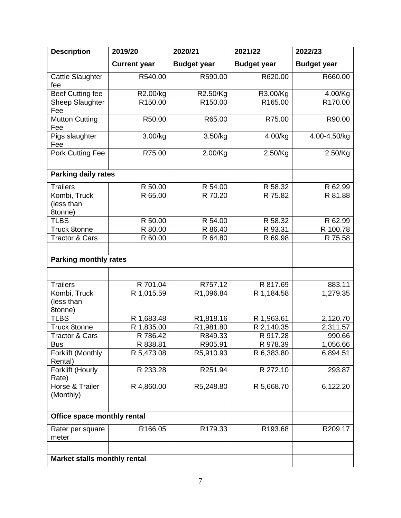| <b>Description</b>                    | 2019/20             | 2020/21             | 2021/22            | 2022/23            |  |
|---------------------------------------|---------------------|---------------------|--------------------|--------------------|--|
|                                       | <b>Current year</b> | <b>Budget year</b>  | <b>Budget year</b> | <b>Budget year</b> |  |
| Cattle Slaughter<br>fee               | R540.00             | R590.00             | R620.00            | R660.00            |  |
| <b>Beef Cutting fee</b>               | R2.00/kg            | R2.50/Kg            | R3.00/Kg           | 4.00/Kg            |  |
| Sheep Slaughter<br>Fee                | R150.00             | R <sub>150.00</sub> | R165.00            | R170.00            |  |
| <b>Mutton Cutting</b><br>Fee          | R50.00              | R65.00              | R75.00             | R90.00             |  |
| Pigs slaughter<br>Fee                 | 3.00/kg             | 3.50/kg             | 4.00/kg            | 4.00-4.50/kg       |  |
| Pork Cutting Fee                      | R75.00              | 2.00/Kg             | 2.50/Kg            | 2.50/Kg            |  |
| <b>Parking daily rates</b>            |                     |                     |                    |                    |  |
| <b>Trailers</b>                       | R 50.00             | R 54.00             | R 58.32            | R 62.99            |  |
| Kombi, Truck<br>(less than<br>8tonne) | R 65.00             | R 70.20             | R 75.82            | R 81.88            |  |
| <b>TLBS</b>                           | R 50.00             | R 54.00             | R 58.32            | R 62.99            |  |
| <b>Truck 8tonne</b>                   | R 80.00             | R 86.40             | R 93.31            | R 100.78           |  |
| <b>Tractor &amp; Cars</b>             | R 60.00             | R 64.80             | R 69.98            | R 75.58            |  |
| <b>Parking monthly rates</b>          |                     |                     |                    |                    |  |
|                                       |                     |                     |                    |                    |  |
| <b>Trailers</b>                       | R 701.04            | R757.12             | R 817.69           | 883.11             |  |
| Kombi, Truck<br>(less than<br>8tonne) | R 1,015.59          | R1,096.84           | R 1,184.58         | 1,279.35           |  |
| <b>TLBS</b>                           | R 1,683.48          | R1,818.16           | R 1,963.61         | 2,120.70           |  |
| <b>Truck 8tonne</b>                   | R 1,835.00          | R1,981.80           | R 2,140.35         | 2,311.57           |  |
| <b>Tractor &amp; Cars</b>             | R 786.42            | R849.33             | R 917.28           | 990.66             |  |
| <b>Bus</b>                            | R 838.81            | R905.91             | R 978.39           | 1,056.66           |  |
| Forklift (Monthly<br>Rental)          | R 5,473.08          | R5,910.93           | R 6,383.80         | 6,894.51           |  |
| Forklift (Hourly<br>Rate)             | R 233.28            | R251.94             | R 272.10           | 293.87             |  |
| Horse & Trailer<br>(Monthly)          | R 4,860.00          | R5,248.80           | R 5,668.70         | 6,122.20           |  |
| Office space monthly rental           |                     |                     |                    |                    |  |
| Rater per square<br>meter             | R166.05             | R179.33             | R193.68            | R209.17            |  |
| Market stalls monthly rental          |                     |                     |                    |                    |  |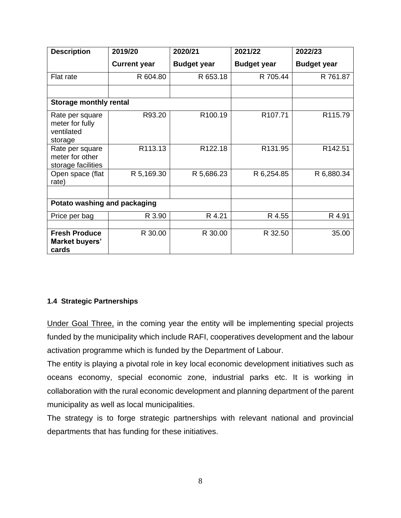| <b>Description</b>                                          | 2019/20             | 2020/21             | 2021/22             | 2022/23            |
|-------------------------------------------------------------|---------------------|---------------------|---------------------|--------------------|
|                                                             | <b>Current year</b> | <b>Budget year</b>  | <b>Budget year</b>  | <b>Budget year</b> |
| Flat rate                                                   | R 604.80            | R 653.18            | R 705.44            | R 761.87           |
|                                                             |                     |                     |                     |                    |
| <b>Storage monthly rental</b>                               |                     |                     |                     |                    |
| Rate per square<br>meter for fully<br>ventilated<br>storage | R93.20              | R <sub>100.19</sub> | R <sub>107.71</sub> | R115.79            |
| Rate per square<br>meter for other<br>storage facilities    | R113.13             | R <sub>122.18</sub> | R131.95             | R142.51            |
| Open space (flat<br>rate)                                   | R 5,169.30          | R 5,686.23          | R 6,254.85          | R 6,880.34         |
| Potato washing and packaging                                |                     |                     |                     |                    |
| Price per bag                                               | R 3.90              | R 4.21              | R 4.55              | R 4.91             |
| <b>Fresh Produce</b><br>Market buyers'<br>cards             | R 30.00             | R 30.00             | R 32.50             | 35.00              |

## <span id="page-7-0"></span>**1.4 Strategic Partnerships**

Under Goal Three, in the coming year the entity will be implementing special projects funded by the municipality which include RAFI, cooperatives development and the labour activation programme which is funded by the Department of Labour.

The entity is playing a pivotal role in key local economic development initiatives such as oceans economy, special economic zone, industrial parks etc. It is working in collaboration with the rural economic development and planning department of the parent municipality as well as local municipalities.

The strategy is to forge strategic partnerships with relevant national and provincial departments that has funding for these initiatives.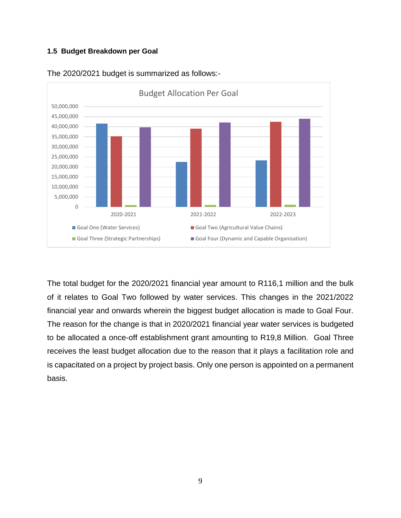## <span id="page-8-0"></span>**1.5 Budget Breakdown per Goal**



The 2020/2021 budget is summarized as follows:-

The total budget for the 2020/2021 financial year amount to R116,1 million and the bulk of it relates to Goal Two followed by water services. This changes in the 2021/2022 financial year and onwards wherein the biggest budget allocation is made to Goal Four. The reason for the change is that in 2020/2021 financial year water services is budgeted to be allocated a once-off establishment grant amounting to R19,8 Million. Goal Three receives the least budget allocation due to the reason that it plays a facilitation role and is capacitated on a project by project basis. Only one person is appointed on a permanent basis.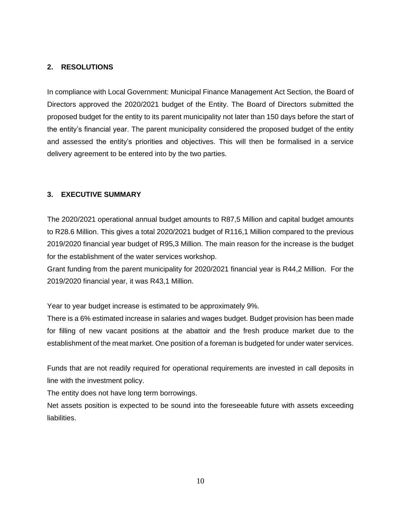## <span id="page-9-0"></span>**2. RESOLUTIONS**

In compliance with Local Government: Municipal Finance Management Act Section, the Board of Directors approved the 2020/2021 budget of the Entity. The Board of Directors submitted the proposed budget for the entity to its parent municipality not later than 150 days before the start of the entity's financial year. The parent municipality considered the proposed budget of the entity and assessed the entity's priorities and objectives. This will then be formalised in a service delivery agreement to be entered into by the two parties.

#### <span id="page-9-1"></span>**3. EXECUTIVE SUMMARY**

The 2020/2021 operational annual budget amounts to R87,5 Million and capital budget amounts to R28.6 Million. This gives a total 2020/2021 budget of R116,1 Million compared to the previous 2019/2020 financial year budget of R95,3 Million. The main reason for the increase is the budget for the establishment of the water services workshop.

Grant funding from the parent municipality for 2020/2021 financial year is R44,2 Million. For the 2019/2020 financial year, it was R43,1 Million.

Year to year budget increase is estimated to be approximately 9%.

There is a 6% estimated increase in salaries and wages budget. Budget provision has been made for filling of new vacant positions at the abattoir and the fresh produce market due to the establishment of the meat market. One position of a foreman is budgeted for under water services.

Funds that are not readily required for operational requirements are invested in call deposits in line with the investment policy.

The entity does not have long term borrowings.

Net assets position is expected to be sound into the foreseeable future with assets exceeding liabilities.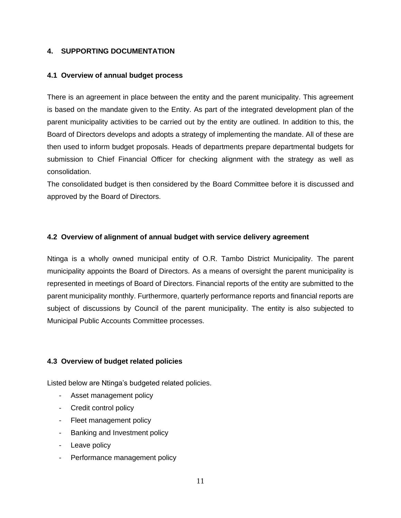#### <span id="page-10-1"></span><span id="page-10-0"></span>**4. SUPPORTING DOCUMENTATION**

#### **4.1 Overview of annual budget process**

There is an agreement in place between the entity and the parent municipality. This agreement is based on the mandate given to the Entity. As part of the integrated development plan of the parent municipality activities to be carried out by the entity are outlined. In addition to this, the Board of Directors develops and adopts a strategy of implementing the mandate. All of these are then used to inform budget proposals. Heads of departments prepare departmental budgets for submission to Chief Financial Officer for checking alignment with the strategy as well as consolidation.

The consolidated budget is then considered by the Board Committee before it is discussed and approved by the Board of Directors.

#### <span id="page-10-2"></span>**4.2 Overview of alignment of annual budget with service delivery agreement**

Ntinga is a wholly owned municipal entity of O.R. Tambo District Municipality. The parent municipality appoints the Board of Directors. As a means of oversight the parent municipality is represented in meetings of Board of Directors. Financial reports of the entity are submitted to the parent municipality monthly. Furthermore, quarterly performance reports and financial reports are subject of discussions by Council of the parent municipality. The entity is also subjected to Municipal Public Accounts Committee processes.

#### <span id="page-10-3"></span>**4.3 Overview of budget related policies**

Listed below are Ntinga's budgeted related policies.

- Asset management policy
- Credit control policy
- Fleet management policy
- Banking and Investment policy
- Leave policy
- Performance management policy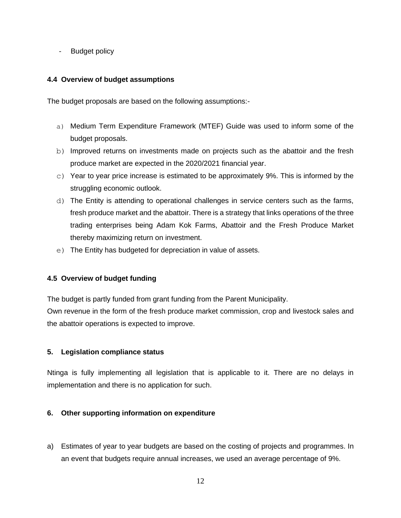- Budget policy

#### <span id="page-11-0"></span>**4.4 Overview of budget assumptions**

The budget proposals are based on the following assumptions:-

- a) Medium Term Expenditure Framework (MTEF) Guide was used to inform some of the budget proposals.
- b) Improved returns on investments made on projects such as the abattoir and the fresh produce market are expected in the 2020/2021 financial year.
- $\circ$ ) Year to year price increase is estimated to be approximately 9%. This is informed by the struggling economic outlook.
- d) The Entity is attending to operational challenges in service centers such as the farms, fresh produce market and the abattoir. There is a strategy that links operations of the three trading enterprises being Adam Kok Farms, Abattoir and the Fresh Produce Market thereby maximizing return on investment.
- e) The Entity has budgeted for depreciation in value of assets.

## <span id="page-11-1"></span>**4.5 Overview of budget funding**

The budget is partly funded from grant funding from the Parent Municipality.

Own revenue in the form of the fresh produce market commission, crop and livestock sales and the abattoir operations is expected to improve.

#### <span id="page-11-2"></span>**5. Legislation compliance status**

Ntinga is fully implementing all legislation that is applicable to it. There are no delays in implementation and there is no application for such.

#### <span id="page-11-3"></span>**6. Other supporting information on expenditure**

a) Estimates of year to year budgets are based on the costing of projects and programmes. In an event that budgets require annual increases, we used an average percentage of 9%.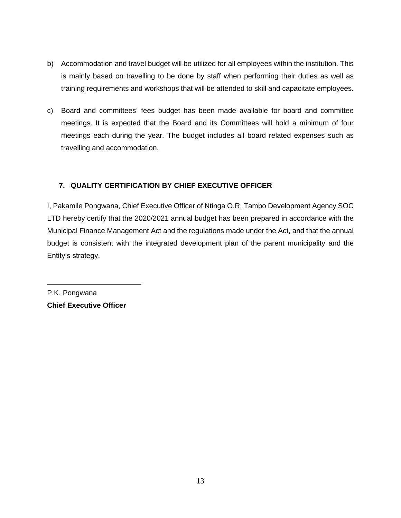- b) Accommodation and travel budget will be utilized for all employees within the institution. This is mainly based on travelling to be done by staff when performing their duties as well as training requirements and workshops that will be attended to skill and capacitate employees.
- c) Board and committees' fees budget has been made available for board and committee meetings. It is expected that the Board and its Committees will hold a minimum of four meetings each during the year. The budget includes all board related expenses such as travelling and accommodation.

# <span id="page-12-0"></span>**7. QUALITY CERTIFICATION BY CHIEF EXECUTIVE OFFICER**

I, Pakamile Pongwana, Chief Executive Officer of Ntinga O.R. Tambo Development Agency SOC LTD hereby certify that the 2020/2021 annual budget has been prepared in accordance with the Municipal Finance Management Act and the regulations made under the Act, and that the annual budget is consistent with the integrated development plan of the parent municipality and the Entity's strategy.

P.K. Pongwana **Chief Executive Officer**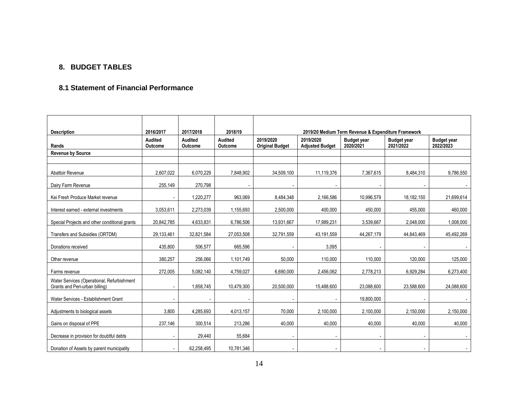## **8. BUDGET TABLES**

#### **8.1 Statement of Financial Performance**

<span id="page-13-0"></span>

| <b>Description</b>                                                           | 2016/2017                | 2017/2018          | 2018/19                          |                                     | 2019/20 Medium Term Revenue & Expenditure Framework |                                 |                                 |                                 |  |  |
|------------------------------------------------------------------------------|--------------------------|--------------------|----------------------------------|-------------------------------------|-----------------------------------------------------|---------------------------------|---------------------------------|---------------------------------|--|--|
| Rands                                                                        | Audited<br>Outcome       | Audited<br>Outcome | <b>Audited</b><br><b>Outcome</b> | 2019/2020<br><b>Original Budget</b> | 2019/2020<br><b>Adjusted Budget</b>                 | <b>Budget year</b><br>2020/2021 | <b>Budget year</b><br>2021/2022 | <b>Budget year</b><br>2022/2023 |  |  |
| <b>Revenue by Source</b>                                                     |                          |                    |                                  |                                     |                                                     |                                 |                                 |                                 |  |  |
|                                                                              |                          |                    |                                  |                                     |                                                     |                                 |                                 |                                 |  |  |
| Abattoir Revenue                                                             | 2,607,022                | 6,070,229          | 7,848,902                        | 34,509,100                          | 11,119,376                                          | 7,367,615                       | 8,484,310                       | 9,786,550                       |  |  |
| Dairy Farm Revenue                                                           | 255,149                  | 270,798            |                                  |                                     |                                                     |                                 | $\overline{\phantom{a}}$        |                                 |  |  |
| Kei Fresh Produce Market revenue                                             | $\overline{\phantom{a}}$ | 1,220,277          | 963,069                          | 8,484,348                           | 2,166,586                                           | 10,996,579                      | 18,182,150                      | 21,699,614                      |  |  |
| Interest earned - external investments                                       | 3,053,611                | 2,273,039          | 1,155,693                        | 2,500,000                           | 400,000                                             | 450,000                         | 455,000                         | 460,000                         |  |  |
| Special Projects and other conditional grants                                | 20,842,785               | 4,633,831          | 6,786,506                        | 13,931,667                          | 17,989,231                                          | 3,539,667                       | 2,048,000                       | 1,008,000                       |  |  |
| Transfers and Subsidies (ORTDM)                                              | 29,133,461               | 32,821,584         | 27,053,508                       | 32,791,559                          | 43,191,559                                          | 44,267,179                      | 44,843,469                      | 45,492,269                      |  |  |
| Donations received                                                           | 435,800                  | 506,577            | 665,596                          |                                     | 3,095                                               |                                 |                                 |                                 |  |  |
| Other revenue                                                                | 380,257                  | 256,066            | 1,101,749                        | 50,000                              | 110,000                                             | 110,000                         | 120,000                         | 125,000                         |  |  |
| Farms revenue                                                                | 272,005                  | 5,082,140          | 4,759,027                        | 6,690,000                           | 2,456,062                                           | 2,778,213                       | 6,929,284                       | 6,273,400                       |  |  |
| Water Services (Operational, Refurbishment<br>Grants and Peri-urban billing) | $\blacksquare$           | 1,858,745          | 10,479,300                       | 20,500,000                          | 15,488,600                                          | 23,088,600                      | 23,588,600                      | 24,088,600                      |  |  |
| Water Services - Establishment Grant                                         |                          |                    |                                  |                                     |                                                     | 19,800,000                      |                                 |                                 |  |  |
| Adjustments to biological assets                                             | 3,800                    | 4,285,693          | 4,013,157                        | 70,000                              | 2,100,000                                           | 2,100,000                       | 2,150,000                       | 2,150,000                       |  |  |
| Gains on disposal of PPE                                                     | 237,146                  | 300,514            | 213,286                          | 40,000                              | 40,000                                              | 40,000                          | 40,000                          | 40,000                          |  |  |
| Decrease in provision for doubtful debts                                     |                          | 29,440             | 55,684                           |                                     |                                                     |                                 |                                 |                                 |  |  |
| Donation of Assets by parent municipality                                    | $\overline{\phantom{a}}$ | 62,258,495         | 10,781,346                       |                                     |                                                     |                                 | $\overline{\phantom{a}}$        | $\overline{\phantom{a}}$        |  |  |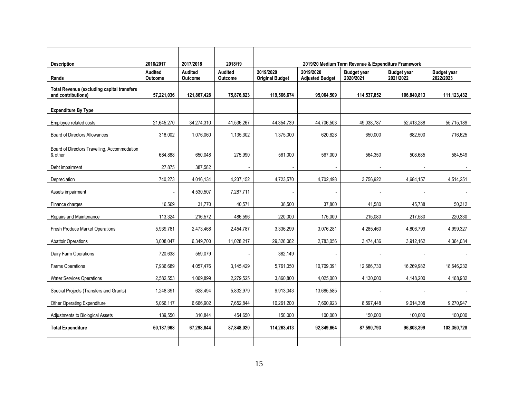|                                                                         |                                        |                                 |                                      | 2019/20 Medium Term Revenue & Expenditure Framework |                                     |                                 |                                 |                                 |  |
|-------------------------------------------------------------------------|----------------------------------------|---------------------------------|--------------------------------------|-----------------------------------------------------|-------------------------------------|---------------------------------|---------------------------------|---------------------------------|--|
| <b>Description</b><br>Rands                                             | 2016/2017<br><b>Audited</b><br>Outcome | 2017/2018<br>Audited<br>Outcome | 2018/19<br><b>Audited</b><br>Outcome | 2019/2020<br><b>Original Budget</b>                 | 2019/2020<br><b>Adjusted Budget</b> | <b>Budget year</b><br>2020/2021 | <b>Budget year</b><br>2021/2022 | <b>Budget year</b><br>2022/2023 |  |
| <b>Total Revenue (excluding capital transfers</b><br>and contributions) | 57,221,036                             | 121,867,428                     | 75,876,823                           | 119,566,674                                         | 95,064,509                          | 114,537,852                     | 106,840,813                     | 111,123,432                     |  |
| <b>Expenditure By Type</b>                                              |                                        |                                 |                                      |                                                     |                                     |                                 |                                 |                                 |  |
| Employee related costs                                                  | 21,645,270                             | 34,274,310                      | 41,536,267                           | 44,354,739                                          | 44,706,503                          | 49,038,787                      | 52,413,288                      | 55,715,189                      |  |
| <b>Board of Directors Allowances</b>                                    | 318,002                                | 1,076,060                       | 1,135,302                            | 1,375,000                                           | 620.628                             | 650,000                         | 682,500                         | 716,625                         |  |
| Board of Directors Travelling, Accommodation<br>& other                 | 684,888                                | 650,048                         | 275,990                              | 561,000                                             | 567,000                             | 564,350                         | 508,685                         | 584,549                         |  |
| Debt impairment                                                         | 27,875                                 | 387,582                         |                                      |                                                     |                                     |                                 |                                 |                                 |  |
| Depreciation                                                            | 740,273                                | 4,016,134                       | 4,237,152                            | 4,723,570                                           | 4,702,498                           | 3,756,922                       | 4,684,157                       | 4,514,251                       |  |
| Assets impairment                                                       |                                        | 4,530,507                       | 7,287,711                            |                                                     |                                     |                                 |                                 |                                 |  |
| Finance charges                                                         | 16,569                                 | 31,770                          | 40,571                               | 38,500                                              | 37,800                              | 41,580                          | 45,738                          | 50,312                          |  |
| Repairs and Maintenance                                                 | 113,324                                | 216,572                         | 486,596                              | 220,000                                             | 175,000                             | 215,080                         | 217,580                         | 220,330                         |  |
| Fresh Produce Market Operations                                         | 5,939,781                              | 2,473,468                       | 2,454,787                            | 3,336,299                                           | 3,076,281                           | 4,285,460                       | 4,806,799                       | 4,999,327                       |  |
| <b>Abattoir Operations</b>                                              | 3,008,047                              | 6,349,700                       | 11,028,217                           | 29,326,062                                          | 2,783,056                           | 3,474,436                       | 3,912,162                       | 4,364,034                       |  |
| Dairy Farm Operations                                                   | 720,638                                | 559,079                         |                                      | 382,149                                             |                                     |                                 |                                 |                                 |  |
| Farms Operations                                                        | 7,936,689                              | 4,057,476                       | 3,145,429                            | 5,761,050                                           | 10,709,391                          | 12,686,730                      | 16,269,982                      | 18,646,232                      |  |
| <b>Water Services Operations</b>                                        | 2,582,553                              | 1,069,899                       | 2,279,525                            | 3,860,800                                           | 4,025,000                           | 4,130,000                       | 4,148,200                       | 4,168,932                       |  |
| Special Projects (Transfers and Grants)                                 | 1,248,391                              | 628,494                         | 5,832,979                            | 9,913,043                                           | 13,685,585                          |                                 |                                 |                                 |  |
| Other Operating Expenditure                                             | 5,066,117                              | 6,666,902                       | 7,652,844                            | 10,261,200                                          | 7,660,923                           | 8,597,448                       | 9,014,308                       | 9,270,947                       |  |
| Adjustments to Biological Assets                                        | 139,550                                | 310,844                         | 454,650                              | 150,000                                             | 100,000                             | 150,000                         | 100,000                         | 100,000                         |  |
| <b>Total Expenditure</b>                                                | 50,187,968                             | 67,298,844                      | 87,848,020                           | 114,263,413                                         | 92,849,664                          | 87,590,793                      | 96,803,399                      | 103,350,728                     |  |
|                                                                         |                                        |                                 |                                      |                                                     |                                     |                                 |                                 |                                 |  |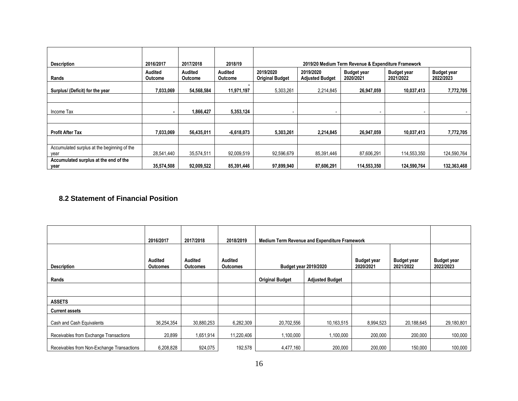| <b>Description</b>                            | 2016/2017          | 2017/2018          | 2018/19            | 2019/20 Medium Term Revenue & Expenditure Framework |                                     |                                 |                                 |                                 |  |
|-----------------------------------------------|--------------------|--------------------|--------------------|-----------------------------------------------------|-------------------------------------|---------------------------------|---------------------------------|---------------------------------|--|
| Rands                                         | Audited<br>Outcome | Audited<br>Outcome | Audited<br>Outcome | 2019/2020<br><b>Original Budget</b>                 | 2019/2020<br><b>Adjusted Budget</b> | <b>Budget year</b><br>2020/2021 | <b>Budget year</b><br>2021/2022 | <b>Budget year</b><br>2022/2023 |  |
| Surplus/ (Deficit) for the year               | 7,033,069          | 54,568,584         | 11,971,197         | 5,303,261                                           | 2,214,845                           | 26,947,059                      | 10,037,413                      | 7,772,705                       |  |
|                                               |                    |                    |                    |                                                     |                                     |                                 |                                 |                                 |  |
| Income Tax                                    |                    | 1,866,427          | 5,353,124          |                                                     |                                     |                                 | $\overline{\phantom{a}}$        |                                 |  |
|                                               |                    |                    |                    |                                                     |                                     |                                 |                                 |                                 |  |
| <b>Profit After Tax</b>                       | 7.033.069          | 56,435,011         | $-6.618.073$       | 5,303,261                                           | 2,214,845                           | 26,947,059                      | 10,037,413                      | 7,772,705                       |  |
|                                               |                    |                    |                    |                                                     |                                     |                                 |                                 |                                 |  |
| Accumulated surplus at the beginning of the   |                    |                    |                    |                                                     |                                     |                                 |                                 |                                 |  |
| year                                          | 28,541,440         | 35,574,511         | 92,009,519         | 92,596,679                                          | 85,391,446                          | 87,606,291                      | 114,553,350                     | 124,590,764                     |  |
| Accumulated surplus at the end of the<br>year | 35,574,508         | 92,009,522         | 85,391,446         | 97,899,940                                          | 87,606,291                          | 114,553,350                     | 124,590,764                     | 132,363,468                     |  |

## **8.2 Statement of Financial Position**

|                                            | 2016/2017                  | 2017/2018                  | 2018/2019                         | <b>Medium Term Revenue and Expenditure Framework</b>                                               |                        |           |                                 |            |
|--------------------------------------------|----------------------------|----------------------------|-----------------------------------|----------------------------------------------------------------------------------------------------|------------------------|-----------|---------------------------------|------------|
| <b>Description</b>                         | Audited<br><b>Outcomes</b> | Audited<br><b>Outcomes</b> | <b>Audited</b><br><b>Outcomes</b> | <b>Budget year</b><br><b>Budget year</b><br><b>Budget year 2019/2020</b><br>2020/2021<br>2021/2022 |                        |           | <b>Budget year</b><br>2022/2023 |            |
| Rands                                      |                            |                            |                                   | <b>Original Budget</b>                                                                             | <b>Adjusted Budget</b> |           |                                 |            |
|                                            |                            |                            |                                   |                                                                                                    |                        |           |                                 |            |
| <b>ASSETS</b>                              |                            |                            |                                   |                                                                                                    |                        |           |                                 |            |
| <b>Current assets</b>                      |                            |                            |                                   |                                                                                                    |                        |           |                                 |            |
| Cash and Cash Equivalents                  | 36,254,354                 | 30,880,253                 | 6,282,309                         | 20,702,556                                                                                         | 10,163,515             | 8,994,523 | 20,188,645                      | 29,180,801 |
| Receivables from Exchange Transactions     | 20,899                     | 1,651,914                  | 11,220,406                        | 1,100,000                                                                                          | 1,100,000              | 200,000   | 200,000                         | 100,000    |
| Receivables from Non-Exchange Transactions | 6,208,828                  | 924,075                    | 192,578                           | 4,477,160                                                                                          | 200,000                | 200,000   | 150.000                         | 100,000    |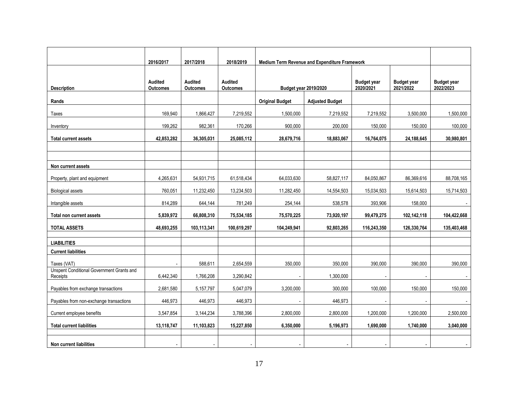|                                                              | 2016/2017                  | 2017/2018                         | 2018/2019                         | Medium Term Revenue and Expenditure Framework |                        |                                 |                                 |                                 |
|--------------------------------------------------------------|----------------------------|-----------------------------------|-----------------------------------|-----------------------------------------------|------------------------|---------------------------------|---------------------------------|---------------------------------|
|                                                              |                            |                                   |                                   |                                               |                        |                                 |                                 |                                 |
| <b>Description</b>                                           | Audited<br><b>Outcomes</b> | <b>Audited</b><br><b>Outcomes</b> | <b>Audited</b><br><b>Outcomes</b> | <b>Budget year 2019/2020</b>                  |                        | <b>Budget year</b><br>2020/2021 | <b>Budget year</b><br>2021/2022 | <b>Budget year</b><br>2022/2023 |
| Rands                                                        |                            |                                   |                                   | <b>Original Budget</b>                        | <b>Adjusted Budget</b> |                                 |                                 |                                 |
| Taxes                                                        | 169,940                    | 1,866,427                         | 7,219,552                         | 1,500,000                                     | 7,219,552              | 7,219,552                       | 3,500,000                       | 1,500,000                       |
| Inventory                                                    | 199,262                    | 982,361                           | 170,266                           | 900,000                                       | 200,000                | 150,000                         | 150,000                         | 100,000                         |
| <b>Total current assets</b>                                  | 42,853,282                 | 36,305,031                        | 25,085,112                        | 28,679,716                                    | 18,883,067             | 16,764,075                      | 24,188,645                      | 30,980,801                      |
|                                                              |                            |                                   |                                   |                                               |                        |                                 |                                 |                                 |
| Non current assets                                           |                            |                                   |                                   |                                               |                        |                                 |                                 |                                 |
|                                                              |                            |                                   |                                   |                                               |                        |                                 |                                 |                                 |
| Property, plant and equipment                                | 4,265,631                  | 54,931,715                        | 61,518,434                        | 64,033,630                                    | 58,827,117             | 84,050,867                      | 86,369,616                      | 88,708,165                      |
| <b>Biological assets</b>                                     | 760,051                    | 11,232,450                        | 13,234,503                        | 11,282,450                                    | 14,554,503             | 15,034,503                      | 15,614,503                      | 15,714,503                      |
| Intangible assets                                            | 814,289                    | 644,144                           | 781,249                           | 254,144                                       | 538,578                | 393,906                         | 158,000                         |                                 |
| Total non current assets                                     | 5,839,972                  | 66,808,310                        | 75,534,185                        | 75,570,225                                    | 73,920,197             | 99,479,275                      | 102,142,118                     | 104,422,668                     |
| <b>TOTAL ASSETS</b>                                          | 48,693,255                 | 103,113,341                       | 100,619,297                       | 104,249,941                                   | 92,803,265             | 116,243,350                     | 126,330,764                     | 135,403,468                     |
| <b>LIABILITIES</b>                                           |                            |                                   |                                   |                                               |                        |                                 |                                 |                                 |
| <b>Current liabilities</b>                                   |                            |                                   |                                   |                                               |                        |                                 |                                 |                                 |
| Taxes (VAT)                                                  |                            | 588,611                           | 2,654,559                         | 350,000                                       | 350,000                | 390,000                         | 390,000                         | 390,000                         |
| <b>Unspent Conditional Government Grants and</b><br>Receipts | 6,442,340                  | 1,766,208                         | 3,290,842                         |                                               | 1,300,000              |                                 |                                 |                                 |
| Payables from exchange transactions                          | 2,681,580                  | 5,157,797                         | 5,047,079                         | 3,200,000                                     | 300,000                | 100,000                         | 150,000                         | 150,000                         |
| Payables from non-exchange transactions                      | 446,973                    | 446,973                           | 446,973                           |                                               | 446,973                |                                 |                                 | $\sim$                          |
| Current employee benefits                                    | 3,547,854                  | 3,144,234                         | 3,788,396                         | 2,800,000                                     | 2,800,000              | 1,200,000                       | 1,200,000                       | 2,500,000                       |
| <b>Total current liabilities</b>                             | 13,118,747                 | 11,103,823                        | 15,227,850                        | 6,350,000                                     | 5,196,973              | 1,690,000                       | 1,740,000                       | 3,040,000                       |
|                                                              |                            |                                   |                                   |                                               |                        |                                 |                                 |                                 |
| Non current liabilities                                      |                            | $\overline{a}$                    |                                   |                                               |                        |                                 |                                 |                                 |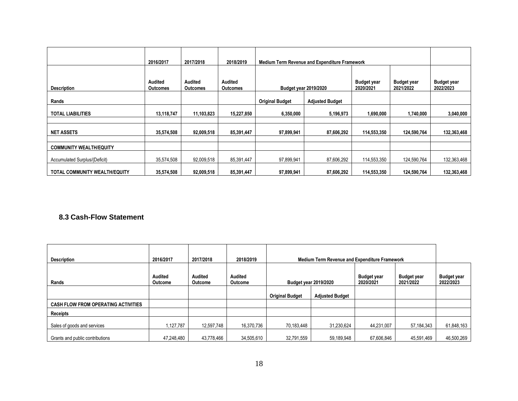|                                | 2016/2017                  | 2017/2018                  | 2018/2019           | <b>Medium Term Revenue and Expenditure Framework</b>                                               |                        |                                 |             |             |
|--------------------------------|----------------------------|----------------------------|---------------------|----------------------------------------------------------------------------------------------------|------------------------|---------------------------------|-------------|-------------|
| <b>Description</b>             | Audited<br><b>Outcomes</b> | Audited<br><b>Outcomes</b> | Audited<br>Outcomes | <b>Budget year</b><br><b>Budget year</b><br><b>Budget year 2019/2020</b><br>2020/2021<br>2021/2022 |                        | <b>Budget year</b><br>2022/2023 |             |             |
| Rands                          |                            |                            |                     | <b>Original Budget</b>                                                                             | <b>Adjusted Budget</b> |                                 |             |             |
| <b>TOTAL LIABILITIES</b>       | 13,118,747                 | 11.103.823                 | 15,227,850          | 6,350,000                                                                                          | 5,196,973              | 1,690,000                       | 1,740,000   | 3,040,000   |
|                                |                            |                            |                     |                                                                                                    |                        |                                 |             |             |
| <b>NET ASSETS</b>              | 35,574,508                 | 92,009,518                 | 85,391,447          | 97,899,941                                                                                         | 87,606,292             | 114,553,350                     | 124,590,764 | 132,363,468 |
| <b>COMMUNITY WEALTH/EQUITY</b> |                            |                            |                     |                                                                                                    |                        |                                 |             |             |
| Accumulated Surplus/(Deficit)  | 35,574,508                 | 92,009,518                 | 85,391,447          | 97,899,941                                                                                         | 87,606,292             | 114,553,350                     | 124,590,764 | 132,363,468 |
| TOTAL COMMUNITY WEALTH/EQUITY  | 35,574,508                 | 92,009,518                 | 85,391,447          | 97,899,941                                                                                         | 87,606,292             | 114,553,350                     | 124,590,764 | 132,363,468 |

## **8.3 Cash-Flow Statement**

| <b>Description</b>                         | 2016/2017                 | 2017/2018                        | 2018/2019          | <b>Medium Term Revenue and Expenditure Framework</b> |                        |                                 |                                 |                                 |
|--------------------------------------------|---------------------------|----------------------------------|--------------------|------------------------------------------------------|------------------------|---------------------------------|---------------------------------|---------------------------------|
| Rands                                      | Audited<br><b>Outcome</b> | <b>Audited</b><br><b>Outcome</b> | Audited<br>Outcome | <b>Budget year 2019/2020</b>                         |                        | <b>Budget year</b><br>2020/2021 | <b>Budget year</b><br>2021/2022 | <b>Budget year</b><br>2022/2023 |
|                                            |                           |                                  |                    | <b>Original Budget</b>                               | <b>Adjusted Budget</b> |                                 |                                 |                                 |
| <b>CASH FLOW FROM OPERATING ACTIVITIES</b> |                           |                                  |                    |                                                      |                        |                                 |                                 |                                 |
| Receipts                                   |                           |                                  |                    |                                                      |                        |                                 |                                 |                                 |
| Sales of goods and services                | 1,127,787                 | 12,597,748                       | 16,370,736         | 70.183.448                                           | 31,230,624             | 44,231,007                      | 57, 184, 343                    | 61,848,163                      |
| Grants and public contributions            | 47.248.480                | 43,778,466                       | 34.505.610         | 32.791.559                                           | 59,189,948             | 67.606.846                      | 45,591,469                      | 46,500,269                      |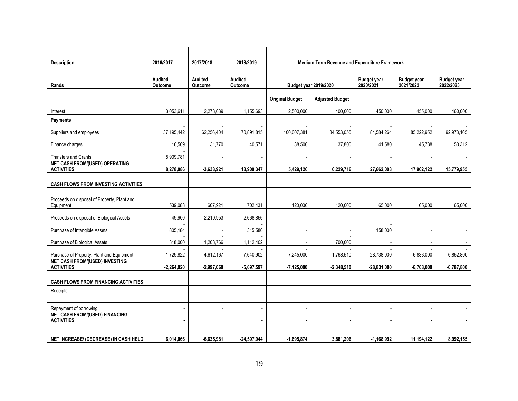| <b>Description</b>                                              | 2016/2017                        | 2017/2018          | 2018/2019                 | Medium Term Revenue and Expenditure Framework |                        |                                 |                                 |                                 |
|-----------------------------------------------------------------|----------------------------------|--------------------|---------------------------|-----------------------------------------------|------------------------|---------------------------------|---------------------------------|---------------------------------|
| Rands                                                           | <b>Audited</b><br><b>Outcome</b> | Audited<br>Outcome | <b>Audited</b><br>Outcome | <b>Budget year 2019/2020</b>                  |                        | <b>Budget year</b><br>2020/2021 | <b>Budget year</b><br>2021/2022 | <b>Budget year</b><br>2022/2023 |
|                                                                 |                                  |                    |                           | <b>Original Budget</b>                        | <b>Adjusted Budget</b> |                                 |                                 |                                 |
| Interest                                                        | 3,053,611                        | 2,273,039          | 1,155,693                 | 2,500,000                                     | 400,000                | 450,000                         | 455,000                         | 460,000                         |
| Payments                                                        |                                  |                    |                           |                                               |                        |                                 |                                 |                                 |
| Suppliers and employees                                         | 37,195,442                       | 62,256,404         | 70,891,815                | 100,007,381                                   | 84,553,055             | 84,584,264                      | 85.222.952                      | 92,978,165                      |
| Finance charges                                                 | 16,569                           | 31,770             | 40,571                    | 38,500                                        | 37,800                 | 41,580                          | 45,738                          | 50,312                          |
| <b>Transfers and Grants</b>                                     | 5,939,781                        |                    |                           |                                               |                        |                                 |                                 |                                 |
| <b>NET CASH FROM/(USED) OPERATING</b><br><b>ACTIVITIES</b>      | 8,278,086                        | $-3,638,921$       | 18,900,347                | 5,429,126                                     | 6,229,716              | 27,662,008                      | 17,962,122                      | 15,779,955                      |
| <b>CASH FLOWS FROM INVESTING ACTIVITIES</b>                     |                                  |                    |                           |                                               |                        |                                 |                                 |                                 |
|                                                                 |                                  |                    |                           |                                               |                        |                                 |                                 |                                 |
| Proceeds on disposal of Property, Plant and<br>Equipment        | 539,088                          | 607,921            | 702,431                   | 120,000                                       | 120,000                | 65,000                          | 65,000                          | 65,000                          |
| Proceeds on disposal of Biological Assets                       | 49,900                           | 2,210,953          | 2,668,856                 |                                               |                        |                                 |                                 |                                 |
| Purchase of Intangible Assets                                   | 805,184                          |                    | 315,580                   |                                               |                        | 158,000                         |                                 |                                 |
| Purchase of Biological Assets                                   | 318,000                          | 1,203,766          | 1,112,402                 |                                               | 700,000                | $\overline{\phantom{a}}$        |                                 |                                 |
| Purchase of Property, Plant and Equipment                       | 1,729,822                        | 4,612,167          | 7,640,902                 | 7,245,000                                     | 1,768,510              | 28,738,000                      | 6,833,000                       | 6,852,800                       |
| <b>NET CASH FROM/(USED) INVESTING</b><br><b>ACTIVITIES</b>      | $-2,264,020$                     | $-2,997,060$       | $-5,697,597$              | $-7,125,000$                                  | $-2,348,510$           | $-28,831,000$                   | $-6,768,000$                    | $-6,787,800$                    |
| <b>CASH FLOWS FROM FINANCING ACTIVITIES</b>                     |                                  |                    |                           |                                               |                        |                                 |                                 |                                 |
| Receipts                                                        |                                  |                    |                           |                                               |                        |                                 |                                 |                                 |
|                                                                 |                                  |                    |                           |                                               |                        |                                 |                                 |                                 |
| Repayment of borrowing<br><b>NET CASH FROM/(USED) FINANCING</b> |                                  |                    |                           |                                               |                        |                                 |                                 |                                 |
| <b>ACTIVITIES</b>                                               |                                  |                    |                           |                                               |                        |                                 |                                 | $\blacksquare$                  |
| NET INCREASE/ (DECREASE) IN CASH HELD                           | 6.014.066                        | $-6.635.981$       | $-24.597.944$             | $-1.695.874$                                  | 3,881,206              | $-1.168.992$                    | 11,194,122                      | 8.992.155                       |